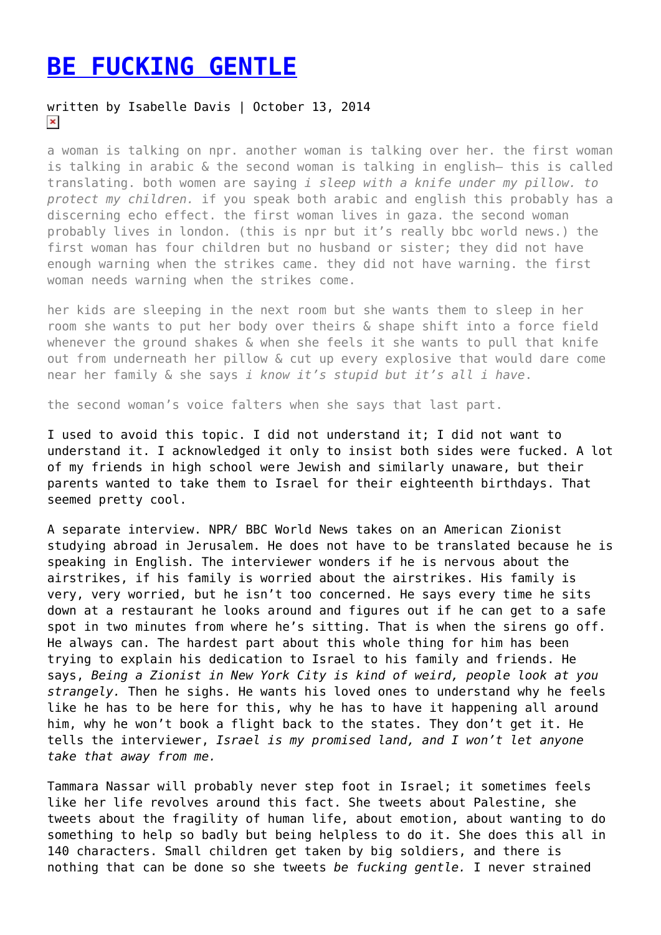## **[BE FUCKING GENTLE](https://entropymag.org/be-fucking-gentle/)**

## written by Isabelle Davis | October 13, 2014  $\pmb{\times}$

a woman is talking on npr. another woman is talking over her. the first woman is talking in arabic & the second woman is talking in english— this is called translating. both women are saying *i sleep with a knife under my pillow. to protect my children.* if you speak both arabic and english this probably has a discerning echo effect. the first woman lives in gaza. the second woman probably lives in london. (this is npr but it's really bbc world news.) the first woman has four children but no husband or sister; they did not have enough warning when the strikes came. they did not have warning. the first woman needs warning when the strikes come.

her kids are sleeping in the next room but she wants them to sleep in her room she wants to put her body over theirs & shape shift into a force field whenever the ground shakes & when she feels it she wants to pull that knife out from underneath her pillow & cut up every explosive that would dare come near her family & she says *i know it's stupid but it's all i have*.

the second woman's voice falters when she says that last part.

I used to avoid this topic. I did not understand it; I did not want to understand it. I acknowledged it only to insist both sides were fucked. A lot of my friends in high school were Jewish and similarly unaware, but their parents wanted to take them to Israel for their eighteenth birthdays. That seemed pretty cool.

A separate interview. NPR/ BBC World News takes on an American Zionist studying abroad in Jerusalem. He does not have to be translated because he is speaking in English. The interviewer wonders if he is nervous about the airstrikes, if his family is worried about the airstrikes. His family is very, very worried, but he isn't too concerned. He says every time he sits down at a restaurant he looks around and figures out if he can get to a safe spot in two minutes from where he's sitting. That is when the sirens go off. He always can. The hardest part about this whole thing for him has been trying to explain his dedication to Israel to his family and friends. He says, *Being a Zionist in New York City is kind of weird, people look at you strangely.* Then he sighs. He wants his loved ones to understand why he feels like he has to be here for this, why he has to have it happening all around him, why he won't book a flight back to the states. They don't get it. He tells the interviewer, *Israel is my promised land, and I won't let anyone take that away from me.*

Tammara Nassar will probably never step foot in Israel; it sometimes feels like her life revolves around this fact. She tweets about Palestine, she tweets about the fragility of human life, about emotion, about wanting to do something to help so badly but being helpless to do it. She does this all in 140 characters. Small children get taken by big soldiers, and there is nothing that can be done so she tweets *be fucking gentle.* I never strained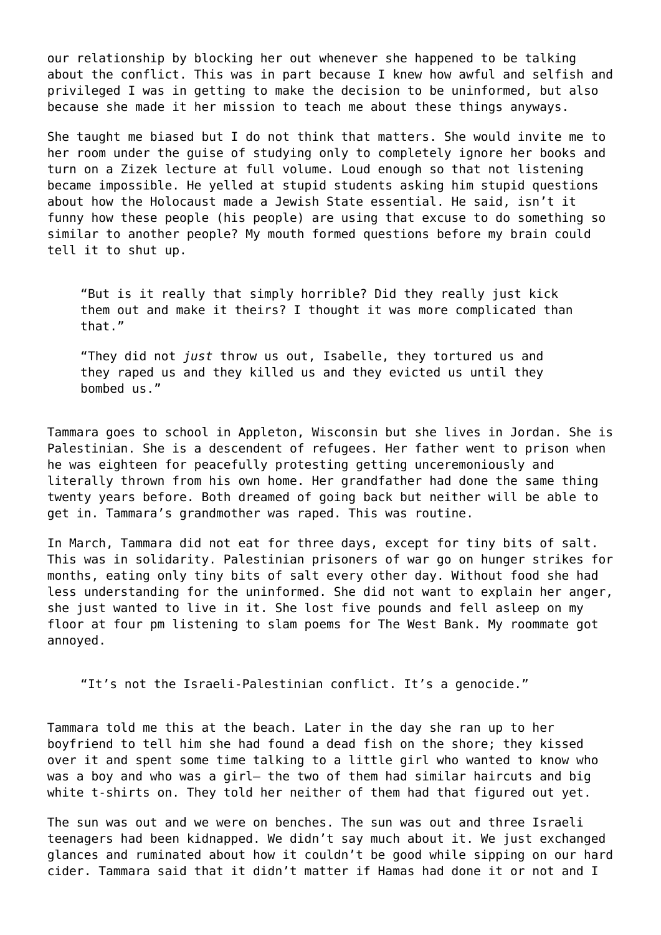our relationship by blocking her out whenever she happened to be talking about the conflict. This was in part because I knew how awful and selfish and privileged I was in getting to make the decision to be uninformed, but also because she made it her mission to teach me about these things anyways.

She taught me biased but I do not think that matters. She would invite me to her room under the guise of studying only to completely ignore her books and turn on a Zizek lecture at full volume. Loud enough so that not listening became impossible. He yelled at stupid students asking him stupid questions about how the Holocaust made a Jewish State essential. He said, isn't it funny how these people (his people) are using that excuse to do something so similar to another people? My mouth formed questions before my brain could tell it to shut up.

"But is it really that simply horrible? Did they really just kick them out and make it theirs? I thought it was more complicated than that."

"They did not *just* throw us out, Isabelle, they tortured us and they raped us and they killed us and they evicted us until they bombed us."

Tammara goes to school in Appleton, Wisconsin but she lives in Jordan. She is Palestinian. She is a descendent of refugees. Her father went to prison when he was eighteen for peacefully protesting getting unceremoniously and literally thrown from his own home. Her grandfather had done the same thing twenty years before. Both dreamed of going back but neither will be able to get in. Tammara's grandmother was raped. This was routine.

In March, Tammara did not eat for three days, except for tiny bits of salt. This was in solidarity. Palestinian prisoners of war go on hunger strikes for months, eating only tiny bits of salt every other day. Without food she had less understanding for the uninformed. She did not want to explain her anger, she just wanted to live in it. She lost five pounds and fell asleep on my floor at four pm listening to slam poems for The West Bank. My roommate got annoyed.

"It's not the Israeli-Palestinian conflict. It's a genocide."

Tammara told me this at the beach. Later in the day she ran up to her boyfriend to tell him she had found a dead fish on the shore; they kissed over it and spent some time talking to a little girl who wanted to know who was a boy and who was a girl— the two of them had similar haircuts and big white t-shirts on. They told her neither of them had that figured out yet.

The sun was out and we were on benches. The sun was out and three Israeli teenagers had been kidnapped. We didn't say much about it. We just exchanged glances and ruminated about how it couldn't be good while sipping on our hard cider. Tammara said that it didn't matter if Hamas had done it or not and I